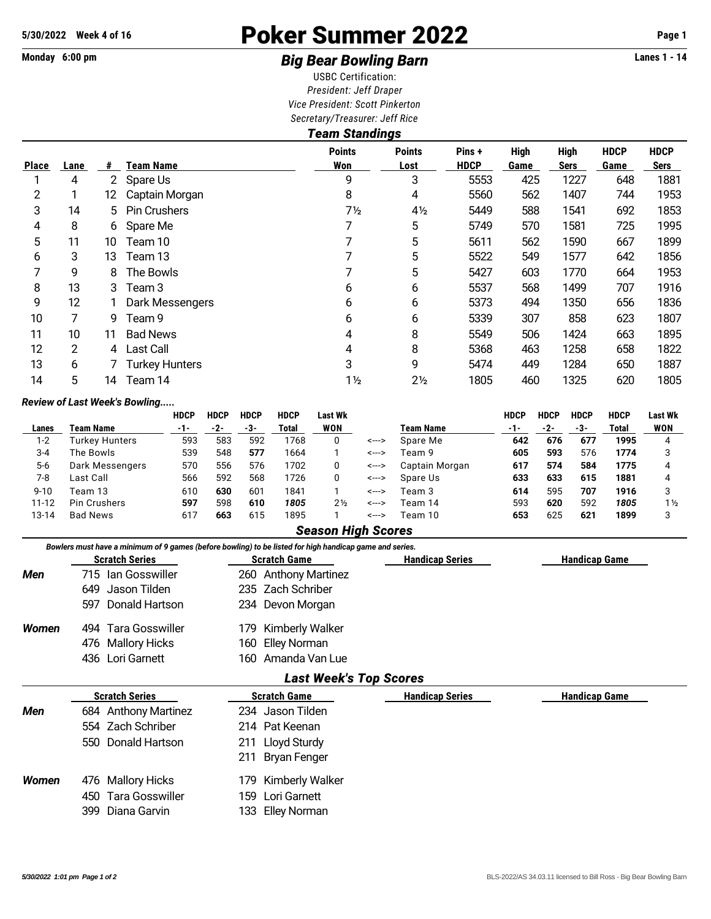# **5/30/2022 Week 4 of 16** Poker Summer 2022 **Page 1**

## Monday 6:00 pm **Example 2 and 3 and 3 and 3 and 3 and 3 and 3 Big Bear Bowling Barn Example 2 and 3 and 4** Lanes 1 - 14

USBC Certification: *President: Jeff Draper Vice President: Scott Pinkerton Secretary/Treasurer: Jeff Rice*

| <b>Team Standings</b> |                |                      |                       |                      |                       |                       |                     |                            |                     |                     |  |  |
|-----------------------|----------------|----------------------|-----------------------|----------------------|-----------------------|-----------------------|---------------------|----------------------------|---------------------|---------------------|--|--|
| <b>Place</b>          | Lane           | #                    | Team Name             | <b>Points</b><br>Won | <b>Points</b><br>Lost | Pins +<br><b>HDCP</b> | <b>High</b><br>Game | <b>High</b><br><b>Sers</b> | <b>HDCP</b><br>Game | <b>HDCP</b><br>Sers |  |  |
|                       | 4              | $\mathbf{2}^{\circ}$ | Spare Us              | 9                    | 3                     | 5553                  | 425                 | 1227                       | 648                 | 1881                |  |  |
| 2                     |                | 12 <sup>°</sup>      | Captain Morgan        | 8                    | 4                     | 5560                  | 562                 | 1407                       | 744                 | 1953                |  |  |
| 3                     | 14             |                      | 5 Pin Crushers        | $7\frac{1}{2}$       | $4\frac{1}{2}$        | 5449                  | 588                 | 1541                       | 692                 | 1853                |  |  |
| 4                     | 8              | 6                    | Spare Me              |                      | 5                     | 5749                  | 570                 | 1581                       | 725                 | 1995                |  |  |
| 5                     | 11             | 10                   | Team 10               |                      | 5                     | 5611                  | 562                 | 1590                       | 667                 | 1899                |  |  |
| 6                     | 3              | 13                   | Team 13               |                      | 5                     | 5522                  | 549                 | 1577                       | 642                 | 1856                |  |  |
| 7                     | 9              | 8                    | The Bowls             |                      | 5                     | 5427                  | 603                 | 1770                       | 664                 | 1953                |  |  |
| 8                     | 13             | 3                    | Team 3                | 6                    | 6                     | 5537                  | 568                 | 1499                       | 707                 | 1916                |  |  |
| 9                     | 12             |                      | Dark Messengers       | 6                    | 6                     | 5373                  | 494                 | 1350                       | 656                 | 1836                |  |  |
| 10                    | 7              | 9                    | Team 9                | 6                    | 6                     | 5339                  | 307                 | 858                        | 623                 | 1807                |  |  |
| 11                    | 10             | 11                   | <b>Bad News</b>       | 4                    | 8                     | 5549                  | 506                 | 1424                       | 663                 | 1895                |  |  |
| 12                    | $\overline{2}$ | 4                    | <b>Last Call</b>      | 4                    | 8                     | 5368                  | 463                 | 1258                       | 658                 | 1822                |  |  |
| 13                    | 6              |                      | <b>Turkey Hunters</b> | 3                    | 9                     | 5474                  | 449                 | 1284                       | 650                 | 1887                |  |  |
| 14                    | 5              | 14                   | Team 14               | $1\frac{1}{2}$       | $2\frac{1}{2}$        | 1805                  | 460                 | 1325                       | 620                 | 1805                |  |  |

#### *Review of Last Week's Bowling.....*

|           |                     | <b>HDCP</b> | <b>HDCP</b> | <b>HDCP</b> | <b>HDCP</b> | Last Wk        |       |                  | <b>HDCP</b> | <b>HDCP</b> | <b>HDCP</b> | <b>HDCP</b> | Last Wk        |
|-----------|---------------------|-------------|-------------|-------------|-------------|----------------|-------|------------------|-------------|-------------|-------------|-------------|----------------|
| Lanes     | Team Name           | -1-         | -2-         | -3-         | Total       | WON            |       | <b>Team Name</b> | -1-         | -2-         | -3-         | Total       | WON            |
| 1-2       | Turkev Hunters      | 593         | 583         | 592         | 1768        |                | <---> | Spare Me         | 642         | 676         | 677         | 1995        | 4              |
| $3 - 4$   | The Bowls           | 539         | 548         | 577         | 1664        |                | <---> | Team 9           | 605         | 593         | 576         | 1774        |                |
| $5-6$     | Dark Messengers     | 570         | 556         | 576         | 1702        |                | <---> | Captain Morgan   | 617         | 574         | 584         | 1775        | 4              |
| 7-8       | Last Call           | 566         | 592         | 568         | 1726        |                | <---> | Spare Us         | 633         | 633         | 615         | 1881        | 4              |
| $9 - 10$  | Team 13             | 610         | 630         | 601         | 1841        |                | <---> | Team 3           | 614         | 595         | 707         | 1916        |                |
| $11 - 12$ | <b>Pin Crushers</b> | 597         | 598         | 610         | 1805        | $2\frac{1}{2}$ | <---> | Team 14          | 593         | 620         | 592         | 1805        | $1\frac{1}{2}$ |
| 13-14     | <b>Bad News</b>     | 617         | 663         | 615         | 1895        |                | <---> | Team 10          | 653         | 625         | 621         | 1899        |                |

#### *Season High Scores*

|       | <b>Scratch Series</b> | <b>Scratch Game</b>  | <b>Handicap Series</b> | <b>Handicap Game</b> |  |  |  |  |  |
|-------|-----------------------|----------------------|------------------------|----------------------|--|--|--|--|--|
| Men   | 715 Ian Gosswiller    | 260 Anthony Martinez |                        |                      |  |  |  |  |  |
|       | 649 Jason Tilden      | 235 Zach Schriber    |                        |                      |  |  |  |  |  |
|       | 597 Donald Hartson    | 234 Devon Morgan     |                        |                      |  |  |  |  |  |
| Women | 494 Tara Gosswiller   | 179 Kimberly Walker  |                        |                      |  |  |  |  |  |
|       | 476 Mallory Hicks     | 160 Elley Norman     |                        |                      |  |  |  |  |  |
|       | 436 Lori Garnett      | 160 Amanda Van Lue   |                        |                      |  |  |  |  |  |

### *Last Week's Top Scores*

|       | <b>Scratch Series</b> | <b>Scratch Game</b> | <b>Handicap Series</b> | <b>Handicap Game</b> |
|-------|-----------------------|---------------------|------------------------|----------------------|
| Men   | 684 Anthony Martinez  | 234 Jason Tilden    |                        |                      |
|       | 554 Zach Schriber     | 214 Pat Keenan      |                        |                      |
|       | 550 Donald Hartson    | 211 Lloyd Sturdy    |                        |                      |
|       |                       | 211 Bryan Fenger    |                        |                      |
| Women | 476 Mallory Hicks     | 179 Kimberly Walker |                        |                      |
|       | 450 Tara Gosswiller   | 159 Lori Garnett    |                        |                      |
|       | 399 Diana Garvin      | 133 Elley Norman    |                        |                      |